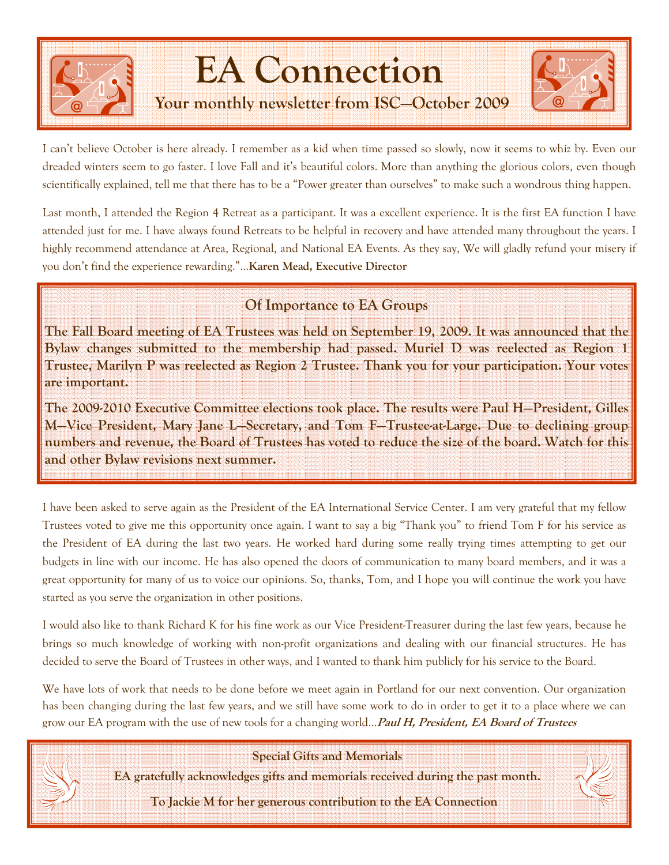

## EA Connection

### Your monthly newsletter from ISC—October 2009



I can't believe October is here already. I remember as a kid when time passed so slowly, now it seems to whiz by. Even our dreaded winters seem to go faster. I love Fall and it's beautiful colors. More than anything the glorious colors, even though scientifically explained, tell me that there has to be a "Power greater than ourselves" to make such a wondrous thing happen.

Last month, I attended the Region 4 Retreat as a participant. It was a excellent experience. It is the first EA function I have attended just for me. I have always found Retreats to be helpful in recovery and have attended many throughout the years. I highly recommend attendance at Area, Regional, and National EA Events. As they say, We will gladly refund your misery if you don't find the experience rewarding."...Karen Mead, Executive Director

### Of Importance to EA Groups

The Fall Board meeting of EA Trustees was held on September 19, 2009. It was announced that the Bylaw changes submitted to the membership had passed. Muriel D was reelected as Region 1 Trustee, Marilyn P was reelected as Region 2 Trustee. Thank you for your participation. Your votes are important.

The 2009-2010 Executive Committee elections took place. The results were Paul H—President, Gilles M—Vice President, Mary Jane L—Secretary, and Tom F—Trustee-at-Large. Due to declining group numbers and revenue, the Board of Trustees has voted to reduce the size of the board. Watch for this and other Bylaw revisions next summer.

I have been asked to serve again as the President of the EA International Service Center. I am very grateful that my fellow Trustees voted to give me this opportunity once again. I want to say a big "Thank you" to friend Tom F for his service as the President of EA during the last two years. He worked hard during some really trying times attempting to get our budgets in line with our income. He has also opened the doors of communication to many board members, and it was a great opportunity for many of us to voice our opinions. So, thanks, Tom, and I hope you will continue the work you have started as you serve the organization in other positions.

I would also like to thank Richard K for his fine work as our Vice President-Treasurer during the last few years, because he brings so much knowledge of working with non-profit organizations and dealing with our financial structures. He has decided to serve the Board of Trustees in other ways, and I wanted to thank him publicly for his service to the Board.

We have lots of work that needs to be done before we meet again in Portland for our next convention. Our organization has been changing during the last few years, and we still have some work to do in order to get it to a place where we can grow our EA program with the use of new tools for a changing world...*Paul H, President, EA Board of Trustees* 

Special Gifts and Memorials

EA gratefully acknowledges gifts and memorials received during the past month.

To Jackie M for her generous contribution to the EA Connection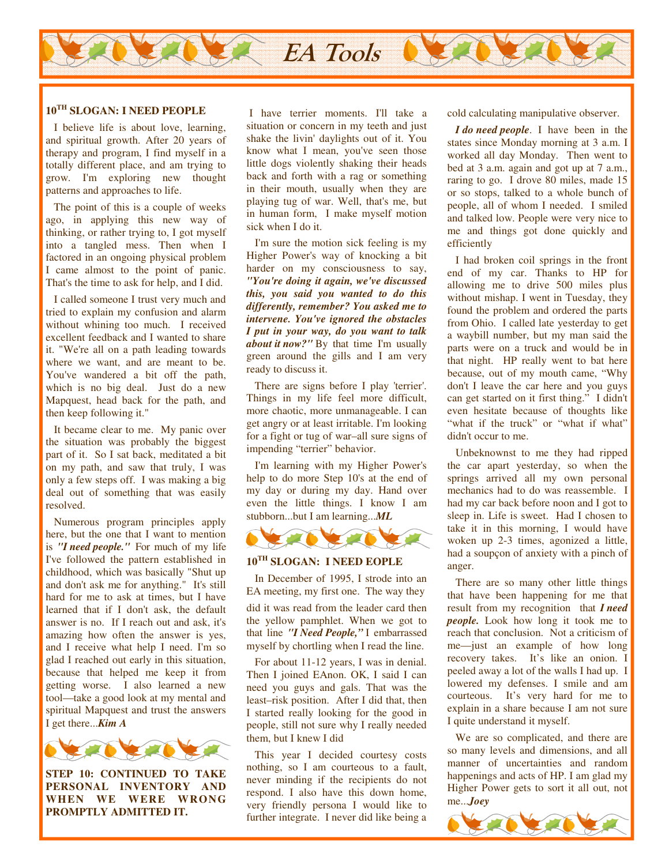

### **10TH SLOGAN: I NEED PEOPLE**

 I believe life is about love, learning, and spiritual growth. After 20 years of therapy and program, I find myself in a totally different place, and am trying to grow. I'm exploring new thought patterns and approaches to life.

 The point of this is a couple of weeks ago, in applying this new way of thinking, or rather trying to, I got myself into a tangled mess. Then when I factored in an ongoing physical problem I came almost to the point of panic. That's the time to ask for help, and I did.

 I called someone I trust very much and tried to explain my confusion and alarm without whining too much. I received excellent feedback and I wanted to share it. "We're all on a path leading towards where we want, and are meant to be. You've wandered a bit off the path, which is no big deal. Just do a new Mapquest, head back for the path, and then keep following it."

 It became clear to me. My panic over the situation was probably the biggest part of it. So I sat back, meditated a bit on my path, and saw that truly, I was only a few steps off. I was making a big deal out of something that was easily resolved.

 Numerous program principles apply here, but the one that I want to mention is *"I need people."* For much of my life I've followed the pattern established in childhood, which was basically "Shut up and don't ask me for anything." It's still hard for me to ask at times, but I have learned that if I don't ask, the default answer is no. If I reach out and ask, it's amazing how often the answer is yes, and I receive what help I need. I'm so glad I reached out early in this situation, because that helped me keep it from getting worse. I also learned a new tool—take a good look at my mental and spiritual Mapquest and trust the answers I get there...*Kim A*



**STEP 10: CONTINUED TO TAKE PERSONAL INVENTORY AND WHEN WE WERE WRONG PROMPTLY ADMITTED IT.** 

 I have terrier moments. I'll take a situation or concern in my teeth and just shake the livin' daylights out of it. You know what I mean, you've seen those little dogs violently shaking their heads back and forth with a rag or something in their mouth, usually when they are playing tug of war. Well, that's me, but in human form, I make myself motion sick when I do it.

 I'm sure the motion sick feeling is my Higher Power's way of knocking a bit harder on my consciousness to say, *"You're doing it again, we've discussed this, you said you wanted to do this differently, remember? You asked me to intervene. You've ignored the obstacles I put in your way, do you want to talk about it now?"* By that time I'm usually green around the gills and I am very ready to discuss it.

 There are signs before I play 'terrier'. Things in my life feel more difficult, more chaotic, more unmanageable. I can get angry or at least irritable. I'm looking for a fight or tug of war–all sure signs of impending "terrier" behavior.

 I'm learning with my Higher Power's help to do more Step 10's at the end of my day or during my day. Hand over even the little things. I know I am stubborn...but I am learning...*ML* 



### **10TH SLOGAN: I NEED EOPLE**

 In December of 1995, I strode into an EA meeting, my first one. The way they

did it was read from the leader card then the yellow pamphlet. When we got to that line *"I Need People,"* I embarrassed myself by chortling when I read the line.

 For about 11-12 years, I was in denial. Then I joined EAnon. OK, I said I can need you guys and gals. That was the least–risk position. After I did that, then I started really looking for the good in people, still not sure why I really needed them, but I knew I did

 This year I decided courtesy costs nothing, so I am courteous to a fault, never minding if the recipients do not respond. I also have this down home, very friendly persona I would like to further integrate. I never did like being a cold calculating manipulative observer.

 *I do need people*. I have been in the states since Monday morning at 3 a.m. I worked all day Monday. Then went to bed at 3 a.m. again and got up at 7 a.m., raring to go. I drove 80 miles, made 15 or so stops, talked to a whole bunch of people, all of whom I needed. I smiled and talked low. People were very nice to me and things got done quickly and efficiently

 I had broken coil springs in the front end of my car. Thanks to HP for allowing me to drive 500 miles plus without mishap. I went in Tuesday, they found the problem and ordered the parts from Ohio. I called late yesterday to get a waybill number, but my man said the parts were on a truck and would be in that night. HP really went to bat here because, out of my mouth came, "Why don't I leave the car here and you guys can get started on it first thing." I didn't even hesitate because of thoughts like "what if the truck" or "what if what" didn't occur to me.

 Unbeknownst to me they had ripped the car apart yesterday, so when the springs arrived all my own personal mechanics had to do was reassemble. I had my car back before noon and I got to sleep in. Life is sweet. Had I chosen to take it in this morning, I would have woken up 2-3 times, agonized a little, had a soupçon of anxiety with a pinch of anger.

 There are so many other little things that have been happening for me that result from my recognition that *I need people.* Look how long it took me to reach that conclusion. Not a criticism of me—just an example of how long recovery takes. It's like an onion. I peeled away a lot of the walls I had up. I lowered my defenses. I smile and am courteous. It's very hard for me to explain in a share because I am not sure I quite understand it myself.

 We are so complicated, and there are so many levels and dimensions, and all manner of uncertainties and random happenings and acts of HP. I am glad my Higher Power gets to sort it all out, not me...*Joey*

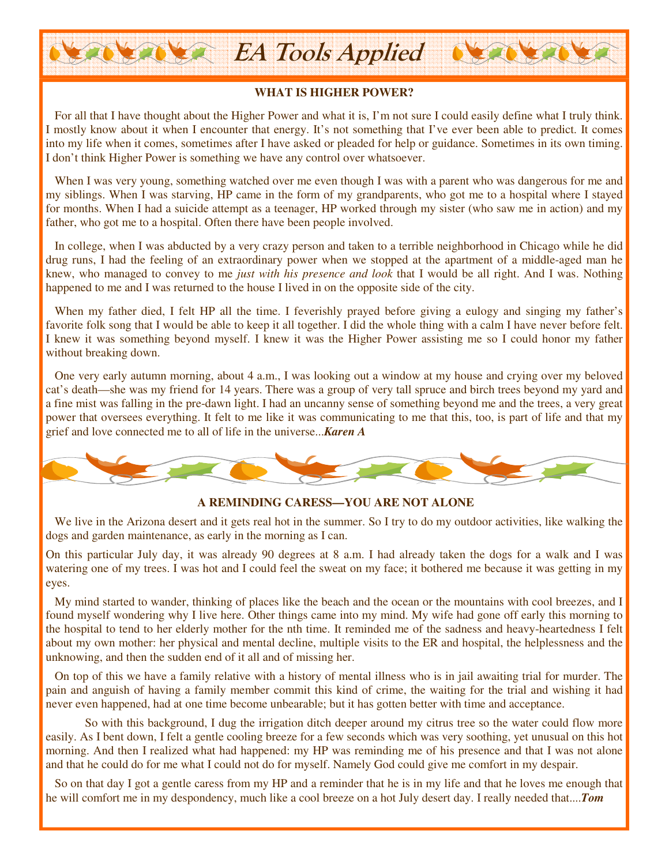### **WHAT IS HIGHER POWER?**

**OVERVER** 

EA Tools Applied

 For all that I have thought about the Higher Power and what it is, I'm not sure I could easily define what I truly think. I mostly know about it when I encounter that energy. It's not something that I've ever been able to predict. It comes into my life when it comes, sometimes after I have asked or pleaded for help or guidance. Sometimes in its own timing. I don't think Higher Power is something we have any control over whatsoever.

When I was very young, something watched over me even though I was with a parent who was dangerous for me and my siblings. When I was starving, HP came in the form of my grandparents, who got me to a hospital where I stayed for months. When I had a suicide attempt as a teenager, HP worked through my sister (who saw me in action) and my father, who got me to a hospital. Often there have been people involved.

 In college, when I was abducted by a very crazy person and taken to a terrible neighborhood in Chicago while he did drug runs, I had the feeling of an extraordinary power when we stopped at the apartment of a middle-aged man he knew, who managed to convey to me *just with his presence and look* that I would be all right. And I was. Nothing happened to me and I was returned to the house I lived in on the opposite side of the city.

When my father died, I felt HP all the time. I feverishly prayed before giving a eulogy and singing my father's favorite folk song that I would be able to keep it all together. I did the whole thing with a calm I have never before felt. I knew it was something beyond myself. I knew it was the Higher Power assisting me so I could honor my father without breaking down.

 One very early autumn morning, about 4 a.m., I was looking out a window at my house and crying over my beloved cat's death—she was my friend for 14 years. There was a group of very tall spruce and birch trees beyond my yard and a fine mist was falling in the pre-dawn light. I had an uncanny sense of something beyond me and the trees, a very great power that oversees everything. It felt to me like it was communicating to me that this, too, is part of life and that my grief and love connected me to all of life in the universe...*Karen A*



### **A REMINDING CARESS—YOU ARE NOT ALONE**

We live in the Arizona desert and it gets real hot in the summer. So I try to do my outdoor activities, like walking the dogs and garden maintenance, as early in the morning as I can.

On this particular July day, it was already 90 degrees at 8 a.m. I had already taken the dogs for a walk and I was watering one of my trees. I was hot and I could feel the sweat on my face; it bothered me because it was getting in my eyes.

 My mind started to wander, thinking of places like the beach and the ocean or the mountains with cool breezes, and I found myself wondering why I live here. Other things came into my mind. My wife had gone off early this morning to the hospital to tend to her elderly mother for the nth time. It reminded me of the sadness and heavy-heartedness I felt about my own mother: her physical and mental decline, multiple visits to the ER and hospital, the helplessness and the unknowing, and then the sudden end of it all and of missing her.

 On top of this we have a family relative with a history of mental illness who is in jail awaiting trial for murder. The pain and anguish of having a family member commit this kind of crime, the waiting for the trial and wishing it had never even happened, had at one time become unbearable; but it has gotten better with time and acceptance.

 So with this background, I dug the irrigation ditch deeper around my citrus tree so the water could flow more easily. As I bent down, I felt a gentle cooling breeze for a few seconds which was very soothing, yet unusual on this hot morning. And then I realized what had happened: my HP was reminding me of his presence and that I was not alone and that he could do for me what I could not do for myself. Namely God could give me comfort in my despair.

 So on that day I got a gentle caress from my HP and a reminder that he is in my life and that he loves me enough that he will comfort me in my despondency, much like a cool breeze on a hot July desert day. I really needed that....*Tom*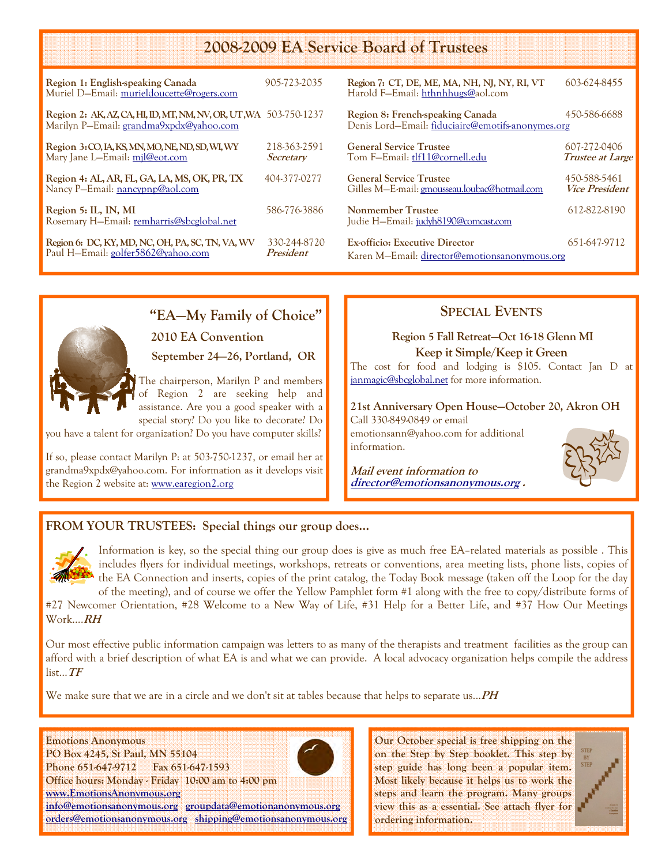### 2008-2009 EA Service Board of Trustees

| Region 1: English-speaking Canada<br>Muriel D-Email: murieldoucette@rogers.com                               | 905-723-2035              |
|--------------------------------------------------------------------------------------------------------------|---------------------------|
| Region 2: AK, AZ, CA, HI, ID, MT, NM, NV, OR, UT, WA 503-750-1237<br>Marilyn P-Email: grandma9xpdx@yahoo.com |                           |
| Region 3: CO, IA, KS, MN, MO, NE, ND, SD, WI, WY<br>Mary Jane L-Email: mil@eot.com                           | 218-363-2591<br>Secretary |
| Region 4: AL, AR, FL, GA, LA, MS, OK, PR, TX<br>Nancy P-Email: nancypnp@aol.com                              | 404-377-0277              |
| Region 5: IL, IN, MI<br>Rosemary H–Email: remharris@sbcglobal.net                                            | 586-776-3886              |
| Region 6: DC, KY, MD, NC, OH, PA, SC, TN, VA, WV<br>Paul H-Email: golfer5862@yahoo.com                       | 330-244-8720<br>President |

| Region 7: CT, DE, ME, MA, NH, NJ, NY, RI, VT<br>Harold F-Email: hthnhhugs@aol.com      | 603-624-8455                            |
|----------------------------------------------------------------------------------------|-----------------------------------------|
| Region 8: French-speaking Canada<br>Denis Lord-Email: fiduciaire@emotifs-anonymes.org  | 450-586-6688                            |
| <b>General Service Trustee</b><br>Tom F-Email: tlf11@cornell.edu                       | 607-272-0406<br><b>Trustee at Large</b> |
| <b>General Service Trustee</b><br>Gilles M-E-mail: gmousseau.loubac@hotmail.com        | 450-588-5461<br><b>Vice President</b>   |
| Nonmember Trustee<br>Judie H-Email: judyh8190@comcast.com                              | 612-822-8190                            |
| <b>Ex-officio: Executive Director</b><br>Karen M—Email: director@emotionsanonymous.org | 651-647-9712                            |

### "EA—My Family of Choice"

### 2010 EA Convention

### September 24—26, Portland, OR

The chairperson, Marilyn P and members Region 2 are seeking help and assistance. Are you a good speaker with a special story? Do you like to decorate? Do

you have a talent for organization? Do you have computer skills?

If so, please contact Marilyn P: at 503-750-1237, or email her at grandma9xpdx@yahoo.com. For information as it develops visit the Region 2 website at: www.earegion2.org

### SPECIAL EVENTS

### Region 5 Fall Retreat—Oct 16-18 Glenn MI Keep it Simple/Keep it Green

The cost for food and lodging is \$105. Contact Jan D at janmagic@sbcglobal.net for more information.

21st Anniversary Open House—October 20, Akron OH Call 330-849-0849 or email emotionsann@yahoo.com for additional information.

Mail event information to director@emotionsanonymous.org .



### FROM YOUR TRUSTEES: Special things our group does…



Information is key, so the special thing our group does is give as much free EA–related materials as possible . This includes flyers for individual meetings, workshops, retreats or conventions, area meeting lists, phone lists, copies of the EA Connection and inserts, copies of the print catalog, the Today Book message (taken off the Loop for the day

of the meeting), and of course we offer the Yellow Pamphlet form #1 along with the free to copy/distribute forms of #27 Newcomer Orientation, #28 Welcome to a New Way of Life, #31 Help for a Better Life, and #37 How Our Meetings Work....RH

Our most effective public information campaign was letters to as many of the therapists and treatment facilities as the group can afford with a brief description of what EA is and what we can provide. A local advocacy organization helps compile the address list...TF

We make sure that we are in a circle and we don't sit at tables because that helps to separate us... $PH$ 



Our October special is free shipping on the on the Step by Step booklet. This step by step guide has long been a popular item. Most likely because it helps us to work the steps and learn the program. Many groups view this as a essential. See attach flyer for ordering information.

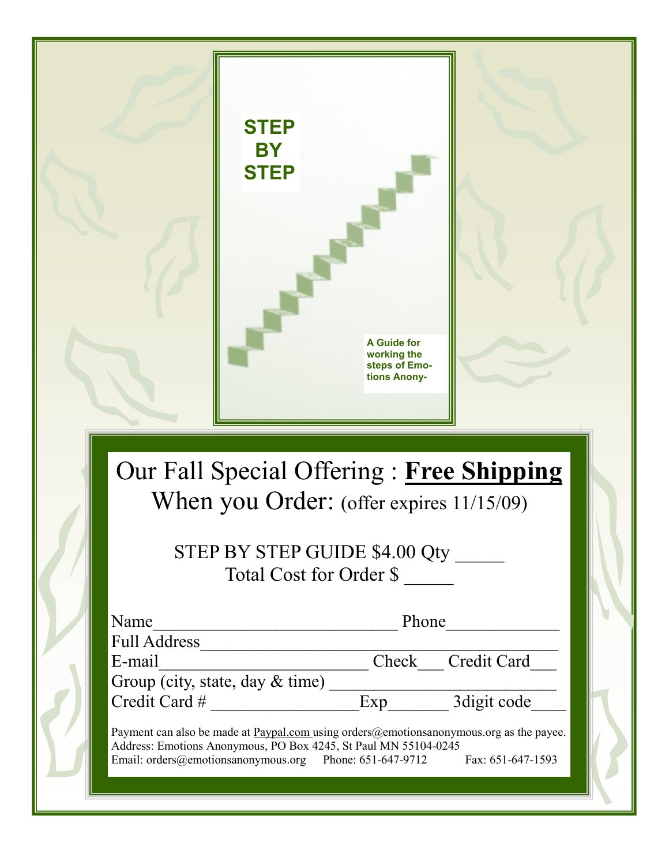